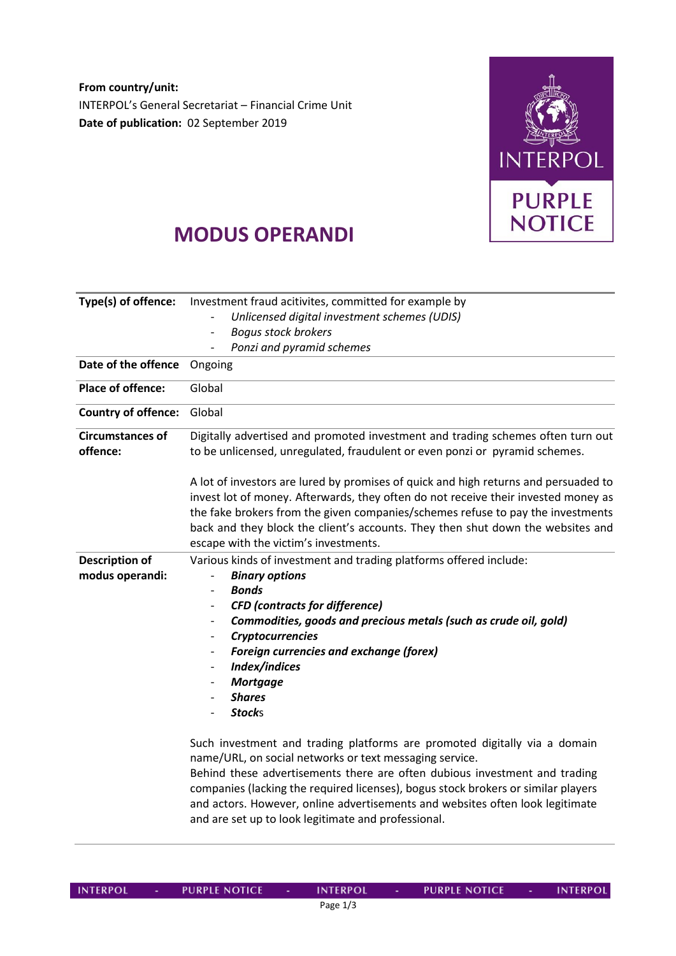**From country/unit: Date of publication:** 02 September 2019 INTERPOL's General Secretariat – Financial Crime Unit



## **MODUS OPERANDI**

| Type(s) of offence:                      | Investment fraud acitivites, committed for example by<br>Unlicensed digital investment schemes (UDIS)<br><b>Boqus stock brokers</b><br>Ponzi and pyramid schemes                                                                                                                                                                                                                                                                                |  |  |
|------------------------------------------|-------------------------------------------------------------------------------------------------------------------------------------------------------------------------------------------------------------------------------------------------------------------------------------------------------------------------------------------------------------------------------------------------------------------------------------------------|--|--|
| Date of the offence                      | Ongoing                                                                                                                                                                                                                                                                                                                                                                                                                                         |  |  |
| <b>Place of offence:</b>                 | Global                                                                                                                                                                                                                                                                                                                                                                                                                                          |  |  |
| <b>Country of offence:</b>               | Global                                                                                                                                                                                                                                                                                                                                                                                                                                          |  |  |
| <b>Circumstances of</b><br>offence:      | Digitally advertised and promoted investment and trading schemes often turn out<br>to be unlicensed, unregulated, fraudulent or even ponzi or pyramid schemes.                                                                                                                                                                                                                                                                                  |  |  |
|                                          | A lot of investors are lured by promises of quick and high returns and persuaded to<br>invest lot of money. Afterwards, they often do not receive their invested money as<br>the fake brokers from the given companies/schemes refuse to pay the investments<br>back and they block the client's accounts. They then shut down the websites and<br>escape with the victim's investments.                                                        |  |  |
| <b>Description of</b><br>modus operandi: | Various kinds of investment and trading platforms offered include:<br><b>Binary options</b><br><b>Bonds</b><br><b>CFD</b> (contracts for difference)<br>Commodities, goods and precious metals (such as crude oil, gold)<br><b>Cryptocurrencies</b><br><b>Foreign currencies and exchange (forex)</b><br>$\overline{\phantom{a}}$<br>Index/indices<br><b>Mortgage</b><br><b>Shares</b><br><b>Stocks</b>                                         |  |  |
|                                          | Such investment and trading platforms are promoted digitally via a domain<br>name/URL, on social networks or text messaging service.<br>Behind these advertisements there are often dubious investment and trading<br>companies (lacking the required licenses), bogus stock brokers or similar players<br>and actors. However, online advertisements and websites often look legitimate<br>and are set up to look legitimate and professional. |  |  |

**INTERPOL** 

**PURPLE NOTICE** 

**INTERPOL** 

PURPLE NOTICE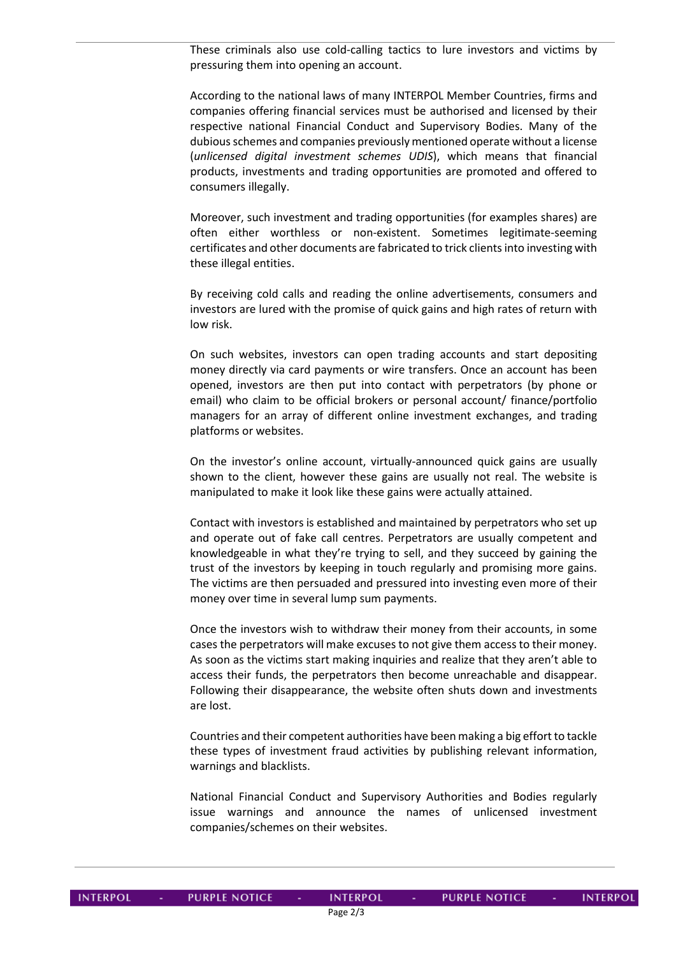These criminals also use cold-calling tactics to lure investors and victims by pressuring them into opening an account.

According to the national laws of many INTERPOL Member Countries, firms and companies offering financial services must be authorised and licensed by their respective national Financial Conduct and Supervisory Bodies. Many of the dubious schemes and companies previously mentioned operate without a license (*unlicensed digital investment schemes UDIS*), which means that financial products, investments and trading opportunities are promoted and offered to consumers illegally.

Moreover, such investment and trading opportunities (for examples shares) are often either worthless or non-existent. Sometimes legitimate-seeming certificates and other documents are fabricated to trick clients into investing with these illegal entities.

By receiving cold calls and reading the online advertisements, consumers and investors are lured with the promise of quick gains and high rates of return with low risk.

On such websites, investors can open trading accounts and start depositing money directly via card payments or wire transfers. Once an account has been opened, investors are then put into contact with perpetrators (by phone or email) who claim to be official brokers or personal account/ finance/portfolio managers for an array of different online investment exchanges, and trading platforms or websites.

On the investor's online account, virtually-announced quick gains are usually shown to the client, however these gains are usually not real. The website is manipulated to make it look like these gains were actually attained.

Contact with investors is established and maintained by perpetrators who set up and operate out of fake call centres. Perpetrators are usually competent and knowledgeable in what they're trying to sell, and they succeed by gaining the trust of the investors by keeping in touch regularly and promising more gains. The victims are then persuaded and pressured into investing even more of their money over time in several lump sum payments.

Once the investors wish to withdraw their money from their accounts, in some cases the perpetrators will make excuses to not give them access to their money. As soon as the victims start making inquiries and realize that they aren't able to access their funds, the perpetrators then become unreachable and disappear. Following their disappearance, the website often shuts down and investments are lost.

Countries and their competent authorities have been making a big effort to tackle these types of investment fraud activities by publishing relevant information, warnings and blacklists.

National Financial Conduct and Supervisory Authorities and Bodies regularly issue warnings and announce the names of unlicensed investment companies/schemes on their websites.

| <b>INTERPOL</b> |  |  |
|-----------------|--|--|
|                 |  |  |